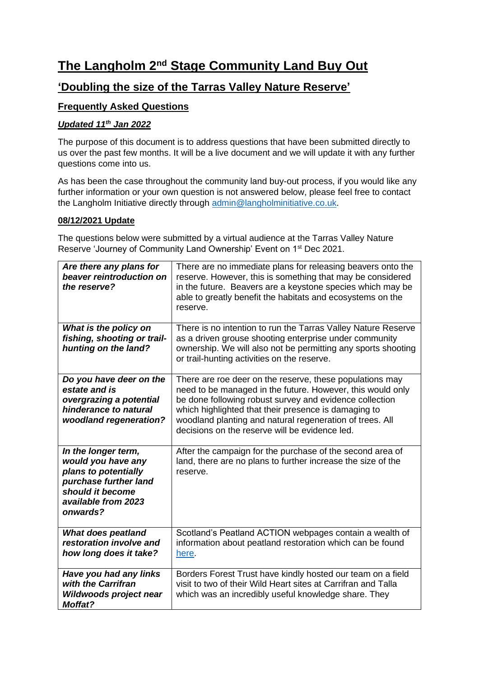# **The Langholm 2nd Stage Community Land Buy Out**

## **'Doubling the size of the Tarras Valley Nature Reserve'**

## **Frequently Asked Questions**

## *Updated 11 th Jan 2022*

The purpose of this document is to address questions that have been submitted directly to us over the past few months. It will be a live document and we will update it with any further questions come into us.

As has been the case throughout the community land buy-out process, if you would like any further information or your own question is not answered below, please feel free to contact the Langholm Initiative directly through [admin@langholminitiative.co.uk.](mailto:admin@langholminitiative.co.uk)

#### **08/12/2021 Update**

The questions below were submitted by a virtual audience at the Tarras Valley Nature Reserve 'Journey of Community Land Ownership' Event on 1<sup>st</sup> Dec 2021.

| Are there any plans for<br>beaver reintroduction on<br>the reserve?                                                                               | There are no immediate plans for releasing beavers onto the<br>reserve. However, this is something that may be considered<br>in the future. Beavers are a keystone species which may be<br>able to greatly benefit the habitats and ecosystems on the<br>reserve.                                                                                       |
|---------------------------------------------------------------------------------------------------------------------------------------------------|---------------------------------------------------------------------------------------------------------------------------------------------------------------------------------------------------------------------------------------------------------------------------------------------------------------------------------------------------------|
| What is the policy on<br>fishing, shooting or trail-<br>hunting on the land?                                                                      | There is no intention to run the Tarras Valley Nature Reserve<br>as a driven grouse shooting enterprise under community<br>ownership. We will also not be permitting any sports shooting<br>or trail-hunting activities on the reserve.                                                                                                                 |
| Do you have deer on the<br>estate and is<br>overgrazing a potential<br>hinderance to natural<br>woodland regeneration?                            | There are roe deer on the reserve, these populations may<br>need to be managed in the future. However, this would only<br>be done following robust survey and evidence collection<br>which highlighted that their presence is damaging to<br>woodland planting and natural regeneration of trees. All<br>decisions on the reserve will be evidence led. |
| In the longer term,<br>would you have any<br>plans to potentially<br>purchase further land<br>should it become<br>available from 2023<br>onwards? | After the campaign for the purchase of the second area of<br>land, there are no plans to further increase the size of the<br>reserve.                                                                                                                                                                                                                   |
| <b>What does peatland</b><br>restoration involve and<br>how long does it take?                                                                    | Scotland's Peatland ACTION webpages contain a wealth of<br>information about peatland restoration which can be found<br>here.                                                                                                                                                                                                                           |
| Have you had any links<br>with the Carrifran<br>Wildwoods project near<br><b>Moffat?</b>                                                          | Borders Forest Trust have kindly hosted our team on a field<br>visit to two of their Wild Heart sites at Carrifran and Talla<br>which was an incredibly useful knowledge share. They                                                                                                                                                                    |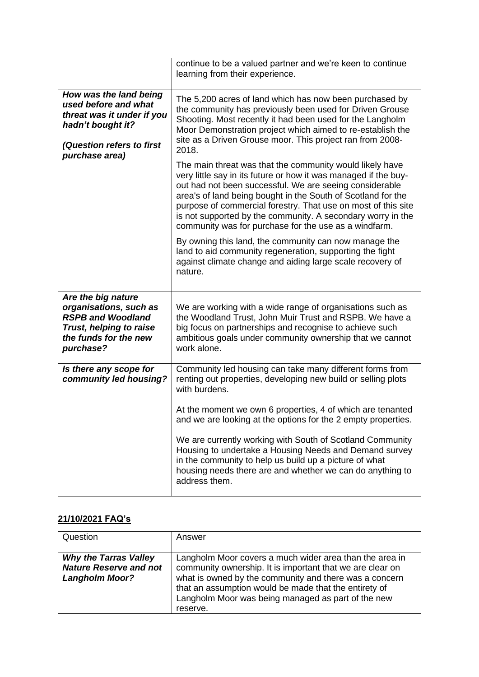|                                                                                                                                                  | continue to be a valued partner and we're keen to continue<br>learning from their experience.                                                                                                                                                                                                                                                                                                                                                   |
|--------------------------------------------------------------------------------------------------------------------------------------------------|-------------------------------------------------------------------------------------------------------------------------------------------------------------------------------------------------------------------------------------------------------------------------------------------------------------------------------------------------------------------------------------------------------------------------------------------------|
| How was the land being<br>used before and what<br>threat was it under if you<br>hadn't bought it?<br>(Question refers to first<br>purchase area) | The 5,200 acres of land which has now been purchased by<br>the community has previously been used for Driven Grouse<br>Shooting. Most recently it had been used for the Langholm<br>Moor Demonstration project which aimed to re-establish the<br>site as a Driven Grouse moor. This project ran from 2008-<br>2018.                                                                                                                            |
|                                                                                                                                                  | The main threat was that the community would likely have<br>very little say in its future or how it was managed if the buy-<br>out had not been successful. We are seeing considerable<br>area's of land being bought in the South of Scotland for the<br>purpose of commercial forestry. That use on most of this site<br>is not supported by the community. A secondary worry in the<br>community was for purchase for the use as a windfarm. |
|                                                                                                                                                  | By owning this land, the community can now manage the<br>land to aid community regeneration, supporting the fight<br>against climate change and aiding large scale recovery of<br>nature.                                                                                                                                                                                                                                                       |
| Are the big nature<br>organisations, such as<br><b>RSPB and Woodland</b><br>Trust, helping to raise<br>the funds for the new<br>purchase?        | We are working with a wide range of organisations such as<br>the Woodland Trust, John Muir Trust and RSPB. We have a<br>big focus on partnerships and recognise to achieve such<br>ambitious goals under community ownership that we cannot<br>work alone.                                                                                                                                                                                      |
| Is there any scope for<br>community led housing?                                                                                                 | Community led housing can take many different forms from<br>renting out properties, developing new build or selling plots<br>with burdens.                                                                                                                                                                                                                                                                                                      |
|                                                                                                                                                  | At the moment we own 6 properties, 4 of which are tenanted<br>and we are looking at the options for the 2 empty properties.                                                                                                                                                                                                                                                                                                                     |
|                                                                                                                                                  | We are currently working with South of Scotland Community<br>Housing to undertake a Housing Needs and Demand survey<br>in the community to help us build up a picture of what<br>housing needs there are and whether we can do anything to<br>address them.                                                                                                                                                                                     |

## **21/10/2021 FAQ's**

| Question                                                                               | Answer                                                                                                                                                                                                                                                                                                    |
|----------------------------------------------------------------------------------------|-----------------------------------------------------------------------------------------------------------------------------------------------------------------------------------------------------------------------------------------------------------------------------------------------------------|
| <b>Why the Tarras Valley</b><br><b>Nature Reserve and not</b><br><b>Langholm Moor?</b> | Langholm Moor covers a much wider area than the area in<br>community ownership. It is important that we are clear on<br>what is owned by the community and there was a concern<br>that an assumption would be made that the entirety of<br>Langholm Moor was being managed as part of the new<br>reserve. |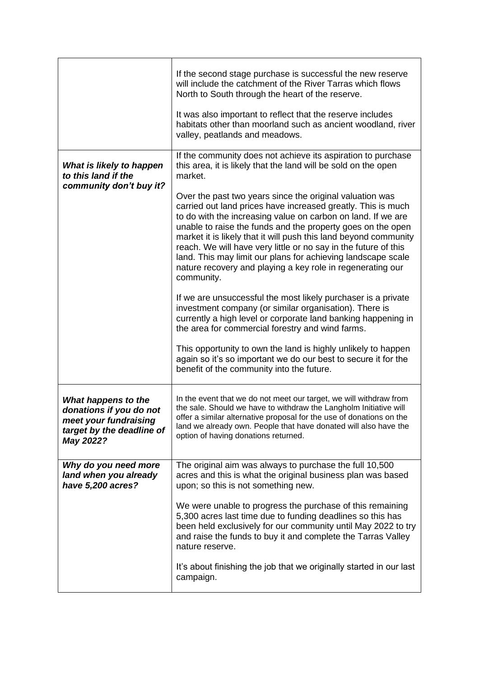|                                                                                                                   | If the second stage purchase is successful the new reserve<br>will include the catchment of the River Tarras which flows<br>North to South through the heart of the reserve.<br>It was also important to reflect that the reserve includes                                                                                                                                                                                                                                                                                                 |
|-------------------------------------------------------------------------------------------------------------------|--------------------------------------------------------------------------------------------------------------------------------------------------------------------------------------------------------------------------------------------------------------------------------------------------------------------------------------------------------------------------------------------------------------------------------------------------------------------------------------------------------------------------------------------|
|                                                                                                                   | habitats other than moorland such as ancient woodland, river<br>valley, peatlands and meadows.                                                                                                                                                                                                                                                                                                                                                                                                                                             |
| What is likely to happen<br>to this land if the<br>community don't buy it?                                        | If the community does not achieve its aspiration to purchase<br>this area, it is likely that the land will be sold on the open<br>market.                                                                                                                                                                                                                                                                                                                                                                                                  |
|                                                                                                                   | Over the past two years since the original valuation was<br>carried out land prices have increased greatly. This is much<br>to do with the increasing value on carbon on land. If we are<br>unable to raise the funds and the property goes on the open<br>market it is likely that it will push this land beyond community<br>reach. We will have very little or no say in the future of this<br>land. This may limit our plans for achieving landscape scale<br>nature recovery and playing a key role in regenerating our<br>community. |
|                                                                                                                   | If we are unsuccessful the most likely purchaser is a private<br>investment company (or similar organisation). There is<br>currently a high level or corporate land banking happening in<br>the area for commercial forestry and wind farms.                                                                                                                                                                                                                                                                                               |
|                                                                                                                   | This opportunity to own the land is highly unlikely to happen<br>again so it's so important we do our best to secure it for the<br>benefit of the community into the future.                                                                                                                                                                                                                                                                                                                                                               |
| What happens to the<br>donations if you do not<br>meet your fundraising<br>target by the deadline of<br>May 2022? | In the event that we do not meet our target, we will withdraw from<br>the sale. Should we have to withdraw the Langholm Initiative will<br>offer a similar alternative proposal for the use of donations on the<br>land we already own. People that have donated will also have the<br>option of having donations returned.                                                                                                                                                                                                                |
| Why do you need more<br>land when you already<br>have 5,200 acres?                                                | The original aim was always to purchase the full 10,500<br>acres and this is what the original business plan was based<br>upon; so this is not something new.                                                                                                                                                                                                                                                                                                                                                                              |
|                                                                                                                   | We were unable to progress the purchase of this remaining<br>5,300 acres last time due to funding deadlines so this has<br>been held exclusively for our community until May 2022 to try<br>and raise the funds to buy it and complete the Tarras Valley<br>nature reserve.                                                                                                                                                                                                                                                                |
|                                                                                                                   | It's about finishing the job that we originally started in our last<br>campaign.                                                                                                                                                                                                                                                                                                                                                                                                                                                           |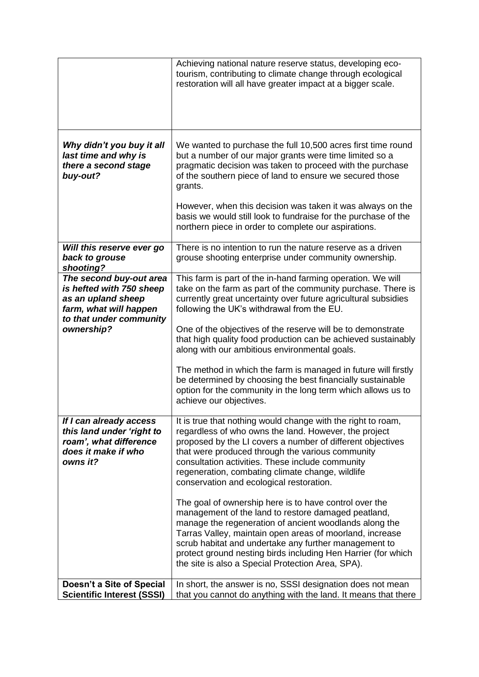|                                                                                                                                              | Achieving national nature reserve status, developing eco-<br>tourism, contributing to climate change through ecological<br>restoration will all have greater impact at a bigger scale.                                                                                                                                                                                                                                                                                                                                                                                                                                                                                                                                                                                                                            |
|----------------------------------------------------------------------------------------------------------------------------------------------|-------------------------------------------------------------------------------------------------------------------------------------------------------------------------------------------------------------------------------------------------------------------------------------------------------------------------------------------------------------------------------------------------------------------------------------------------------------------------------------------------------------------------------------------------------------------------------------------------------------------------------------------------------------------------------------------------------------------------------------------------------------------------------------------------------------------|
| Why didn't you buy it all<br>last time and why is<br>there a second stage<br>buy-out?                                                        | We wanted to purchase the full 10,500 acres first time round<br>but a number of our major grants were time limited so a<br>pragmatic decision was taken to proceed with the purchase<br>of the southern piece of land to ensure we secured those<br>grants.                                                                                                                                                                                                                                                                                                                                                                                                                                                                                                                                                       |
|                                                                                                                                              | However, when this decision was taken it was always on the<br>basis we would still look to fundraise for the purchase of the<br>northern piece in order to complete our aspirations.                                                                                                                                                                                                                                                                                                                                                                                                                                                                                                                                                                                                                              |
| Will this reserve ever go<br>back to grouse<br>shooting?                                                                                     | There is no intention to run the nature reserve as a driven<br>grouse shooting enterprise under community ownership.                                                                                                                                                                                                                                                                                                                                                                                                                                                                                                                                                                                                                                                                                              |
| The second buy-out area<br>is hefted with 750 sheep<br>as an upland sheep<br>farm, what will happen<br>to that under community<br>ownership? | This farm is part of the in-hand farming operation. We will<br>take on the farm as part of the community purchase. There is<br>currently great uncertainty over future agricultural subsidies<br>following the UK's withdrawal from the EU.<br>One of the objectives of the reserve will be to demonstrate<br>that high quality food production can be achieved sustainably<br>along with our ambitious environmental goals.<br>The method in which the farm is managed in future will firstly<br>be determined by choosing the best financially sustainable<br>option for the community in the long term which allows us to<br>achieve our objectives.                                                                                                                                                           |
| If I can already access<br>this land under 'right to<br>roam', what difference<br>does it make if who<br>owns it?                            | It is true that nothing would change with the right to roam,<br>regardless of who owns the land. However, the project<br>proposed by the LI covers a number of different objectives<br>that were produced through the various community<br>consultation activities. These include community<br>regeneration, combating climate change, wildlife<br>conservation and ecological restoration.<br>The goal of ownership here is to have control over the<br>management of the land to restore damaged peatland,<br>manage the regeneration of ancient woodlands along the<br>Tarras Valley, maintain open areas of moorland, increase<br>scrub habitat and undertake any further management to<br>protect ground nesting birds including Hen Harrier (for which<br>the site is also a Special Protection Area, SPA). |
| Doesn't a Site of Special<br><b>Scientific Interest (SSSI)</b>                                                                               | In short, the answer is no, SSSI designation does not mean<br>that you cannot do anything with the land. It means that there                                                                                                                                                                                                                                                                                                                                                                                                                                                                                                                                                                                                                                                                                      |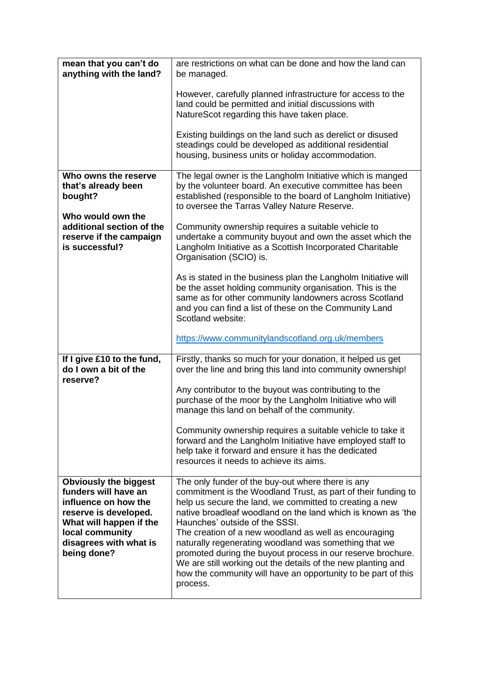| mean that you can't do<br>anything with the land?                                                                                                                                            | are restrictions on what can be done and how the land can<br>be managed.                                                                                                                                                                                                                                                                                                                                                                                                                                                                                                                                      |
|----------------------------------------------------------------------------------------------------------------------------------------------------------------------------------------------|---------------------------------------------------------------------------------------------------------------------------------------------------------------------------------------------------------------------------------------------------------------------------------------------------------------------------------------------------------------------------------------------------------------------------------------------------------------------------------------------------------------------------------------------------------------------------------------------------------------|
|                                                                                                                                                                                              | However, carefully planned infrastructure for access to the<br>land could be permitted and initial discussions with<br>NatureScot regarding this have taken place.                                                                                                                                                                                                                                                                                                                                                                                                                                            |
|                                                                                                                                                                                              | Existing buildings on the land such as derelict or disused<br>steadings could be developed as additional residential<br>housing, business units or holiday accommodation.                                                                                                                                                                                                                                                                                                                                                                                                                                     |
| Who owns the reserve<br>that's already been<br>bought?                                                                                                                                       | The legal owner is the Langholm Initiative which is manged<br>by the volunteer board. An executive committee has been<br>established (responsible to the board of Langholm Initiative)<br>to oversee the Tarras Valley Nature Reserve.                                                                                                                                                                                                                                                                                                                                                                        |
| Who would own the<br>additional section of the<br>reserve if the campaign<br>is successful?                                                                                                  | Community ownership requires a suitable vehicle to<br>undertake a community buyout and own the asset which the<br>Langholm Initiative as a Scottish Incorporated Charitable<br>Organisation (SCIO) is.                                                                                                                                                                                                                                                                                                                                                                                                        |
|                                                                                                                                                                                              | As is stated in the business plan the Langholm Initiative will<br>be the asset holding community organisation. This is the<br>same as for other community landowners across Scotland<br>and you can find a list of these on the Community Land<br>Scotland website:                                                                                                                                                                                                                                                                                                                                           |
|                                                                                                                                                                                              | https://www.communitylandscotland.org.uk/members                                                                                                                                                                                                                                                                                                                                                                                                                                                                                                                                                              |
| If I give £10 to the fund,<br>do I own a bit of the<br>reserve?                                                                                                                              | Firstly, thanks so much for your donation, it helped us get<br>over the line and bring this land into community ownership!                                                                                                                                                                                                                                                                                                                                                                                                                                                                                    |
|                                                                                                                                                                                              | Any contributor to the buyout was contributing to the<br>purchase of the moor by the Langholm Initiative who will<br>manage this land on behalf of the community.                                                                                                                                                                                                                                                                                                                                                                                                                                             |
|                                                                                                                                                                                              | Community ownership requires a suitable vehicle to take it<br>forward and the Langholm Initiative have employed staff to<br>help take it forward and ensure it has the dedicated<br>resources it needs to achieve its aims.                                                                                                                                                                                                                                                                                                                                                                                   |
| <b>Obviously the biggest</b><br>funders will have an<br>influence on how the<br>reserve is developed.<br>What will happen if the<br>local community<br>disagrees with what is<br>being done? | The only funder of the buy-out where there is any<br>commitment is the Woodland Trust, as part of their funding to<br>help us secure the land, we committed to creating a new<br>native broadleaf woodland on the land which is known as 'the<br>Haunches' outside of the SSSI.<br>The creation of a new woodland as well as encouraging<br>naturally regenerating woodland was something that we<br>promoted during the buyout process in our reserve brochure.<br>We are still working out the details of the new planting and<br>how the community will have an opportunity to be part of this<br>process. |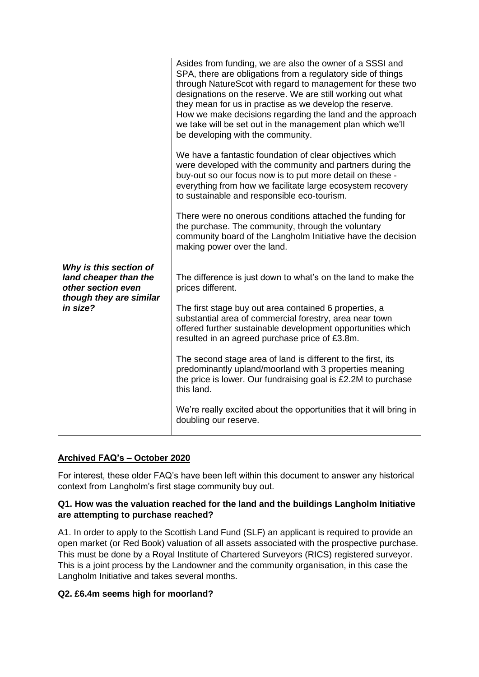|                                                                                                              | Asides from funding, we are also the owner of a SSSI and<br>SPA, there are obligations from a regulatory side of things<br>through NatureScot with regard to management for these two<br>designations on the reserve. We are still working out what<br>they mean for us in practise as we develop the reserve.<br>How we make decisions regarding the land and the approach<br>we take will be set out in the management plan which we'll<br>be developing with the community.                                                     |
|--------------------------------------------------------------------------------------------------------------|------------------------------------------------------------------------------------------------------------------------------------------------------------------------------------------------------------------------------------------------------------------------------------------------------------------------------------------------------------------------------------------------------------------------------------------------------------------------------------------------------------------------------------|
|                                                                                                              | We have a fantastic foundation of clear objectives which<br>were developed with the community and partners during the<br>buy-out so our focus now is to put more detail on these -<br>everything from how we facilitate large ecosystem recovery<br>to sustainable and responsible eco-tourism.                                                                                                                                                                                                                                    |
|                                                                                                              | There were no onerous conditions attached the funding for<br>the purchase. The community, through the voluntary<br>community board of the Langholm Initiative have the decision<br>making power over the land.                                                                                                                                                                                                                                                                                                                     |
| Why is this section of<br>land cheaper than the<br>other section even<br>though they are similar<br>in size? | The difference is just down to what's on the land to make the<br>prices different.<br>The first stage buy out area contained 6 properties, a<br>substantial area of commercial forestry, area near town<br>offered further sustainable development opportunities which<br>resulted in an agreed purchase price of £3.8m.<br>The second stage area of land is different to the first, its<br>predominantly upland/moorland with 3 properties meaning<br>the price is lower. Our fundraising goal is £2.2M to purchase<br>this land. |
|                                                                                                              | We're really excited about the opportunities that it will bring in<br>doubling our reserve.                                                                                                                                                                                                                                                                                                                                                                                                                                        |

## **Archived FAQ's – October 2020**

For interest, these older FAQ's have been left within this document to answer any historical context from Langholm's first stage community buy out.

## **Q1. How was the valuation reached for the land and the buildings Langholm Initiative are attempting to purchase reached?**

A1. In order to apply to the Scottish Land Fund (SLF) an applicant is required to provide an open market (or Red Book) valuation of all assets associated with the prospective purchase. This must be done by a Royal Institute of Chartered Surveyors (RICS) registered surveyor. This is a joint process by the Landowner and the community organisation, in this case the Langholm Initiative and takes several months.

## **Q2. £6.4m seems high for moorland?**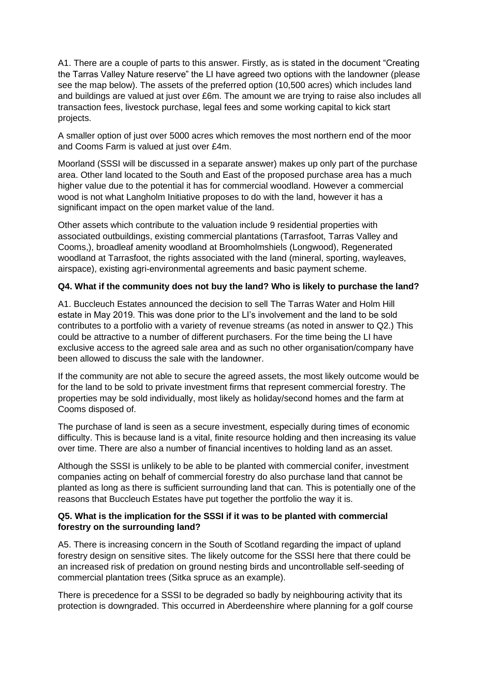A1. There are a couple of parts to this answer. Firstly, as is stated in the document "Creating the Tarras Valley Nature reserve" the LI have agreed two options with the landowner (please see the map below). The assets of the preferred option (10,500 acres) which includes land and buildings are valued at just over £6m. The amount we are trying to raise also includes all transaction fees, livestock purchase, legal fees and some working capital to kick start projects.

A smaller option of just over 5000 acres which removes the most northern end of the moor and Cooms Farm is valued at just over £4m.

Moorland (SSSI will be discussed in a separate answer) makes up only part of the purchase area. Other land located to the South and East of the proposed purchase area has a much higher value due to the potential it has for commercial woodland. However a commercial wood is not what Langholm Initiative proposes to do with the land, however it has a significant impact on the open market value of the land.

Other assets which contribute to the valuation include 9 residential properties with associated outbuildings, existing commercial plantations (Tarrasfoot, Tarras Valley and Cooms,), broadleaf amenity woodland at Broomholmshiels (Longwood), Regenerated woodland at Tarrasfoot, the rights associated with the land (mineral, sporting, wayleaves, airspace), existing agri-environmental agreements and basic payment scheme.

## **Q4. What if the community does not buy the land? Who is likely to purchase the land?**

A1. Buccleuch Estates announced the decision to sell The Tarras Water and Holm Hill estate in May 2019. This was done prior to the LI's involvement and the land to be sold contributes to a portfolio with a variety of revenue streams (as noted in answer to Q2.) This could be attractive to a number of different purchasers. For the time being the LI have exclusive access to the agreed sale area and as such no other organisation/company have been allowed to discuss the sale with the landowner.

If the community are not able to secure the agreed assets, the most likely outcome would be for the land to be sold to private investment firms that represent commercial forestry. The properties may be sold individually, most likely as holiday/second homes and the farm at Cooms disposed of.

The purchase of land is seen as a secure investment, especially during times of economic difficulty. This is because land is a vital, finite resource holding and then increasing its value over time. There are also a number of financial incentives to holding land as an asset.

Although the SSSI is unlikely to be able to be planted with commercial conifer, investment companies acting on behalf of commercial forestry do also purchase land that cannot be planted as long as there is sufficient surrounding land that can. This is potentially one of the reasons that Buccleuch Estates have put together the portfolio the way it is.

## **Q5. What is the implication for the SSSI if it was to be planted with commercial forestry on the surrounding land?**

A5. There is increasing concern in the South of Scotland regarding the impact of upland forestry design on sensitive sites. The likely outcome for the SSSI here that there could be an increased risk of predation on ground nesting birds and uncontrollable self-seeding of commercial plantation trees (Sitka spruce as an example).

There is precedence for a SSSI to be degraded so badly by neighbouring activity that its protection is downgraded. This occurred in Aberdeenshire where planning for a golf course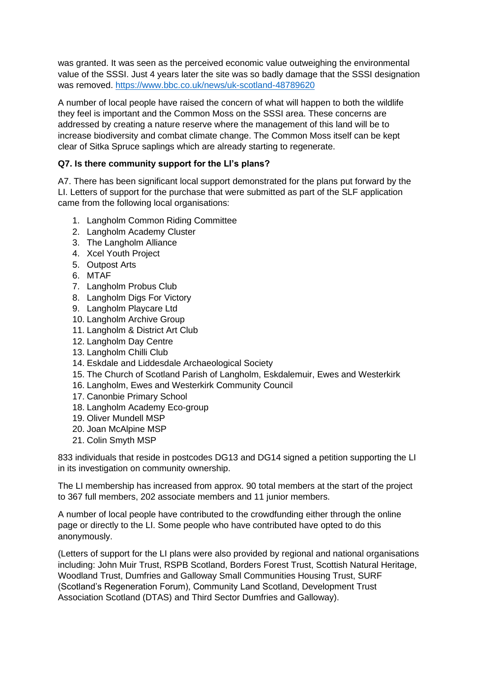was granted. It was seen as the perceived economic value outweighing the environmental value of the SSSI. Just 4 years later the site was so badly damage that the SSSI designation was removed.<https://www.bbc.co.uk/news/uk-scotland-48789620>

A number of local people have raised the concern of what will happen to both the wildlife they feel is important and the Common Moss on the SSSI area. These concerns are addressed by creating a nature reserve where the management of this land will be to increase biodiversity and combat climate change. The Common Moss itself can be kept clear of Sitka Spruce saplings which are already starting to regenerate.

## **Q7. Is there community support for the LI's plans?**

A7. There has been significant local support demonstrated for the plans put forward by the LI. Letters of support for the purchase that were submitted as part of the SLF application came from the following local organisations:

- 1. Langholm Common Riding Committee
- 2. Langholm Academy Cluster
- 3. The Langholm Alliance
- 4. Xcel Youth Project
- 5. Outpost Arts
- 6. MTAF
- 7. Langholm Probus Club
- 8. Langholm Digs For Victory
- 9. Langholm Playcare Ltd
- 10. Langholm Archive Group
- 11. Langholm & District Art Club
- 12. Langholm Day Centre
- 13. Langholm Chilli Club
- 14. Eskdale and Liddesdale Archaeological Society
- 15. The Church of Scotland Parish of Langholm, Eskdalemuir, Ewes and Westerkirk
- 16. Langholm, Ewes and Westerkirk Community Council
- 17. Canonbie Primary School
- 18. Langholm Academy Eco-group
- 19. Oliver Mundell MSP
- 20. Joan McAlpine MSP
- 21. Colin Smyth MSP

833 individuals that reside in postcodes DG13 and DG14 signed a petition supporting the LI in its investigation on community ownership.

The LI membership has increased from approx. 90 total members at the start of the project to 367 full members, 202 associate members and 11 junior members.

A number of local people have contributed to the crowdfunding either through the online page or directly to the LI. Some people who have contributed have opted to do this anonymously.

(Letters of support for the LI plans were also provided by regional and national organisations including: John Muir Trust, RSPB Scotland, Borders Forest Trust, Scottish Natural Heritage, Woodland Trust, Dumfries and Galloway Small Communities Housing Trust, SURF (Scotland's Regeneration Forum), Community Land Scotland, Development Trust Association Scotland (DTAS) and Third Sector Dumfries and Galloway).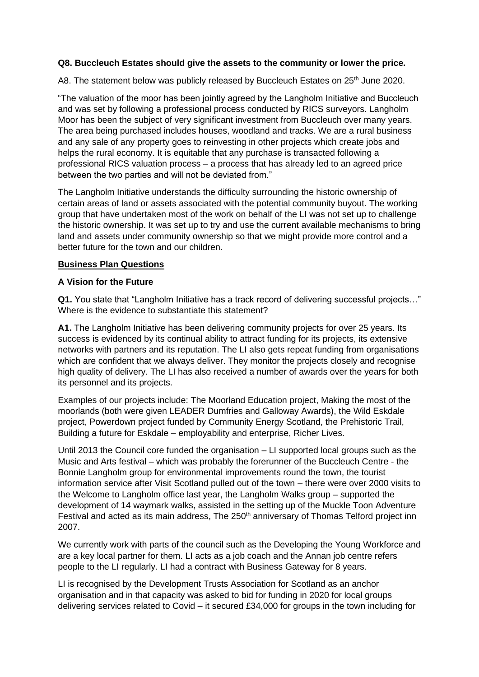#### **Q8. Buccleuch Estates should give the assets to the community or lower the price.**

A8. The statement below was publicly released by Buccleuch Estates on 25<sup>th</sup> June 2020.

"The valuation of the moor has been jointly agreed by the Langholm Initiative and Buccleuch and was set by following a professional process conducted by RICS surveyors. Langholm Moor has been the subject of very significant investment from Buccleuch over many years. The area being purchased includes houses, woodland and tracks. We are a rural business and any sale of any property goes to reinvesting in other projects which create jobs and helps the rural economy. It is equitable that any purchase is transacted following a professional RICS valuation process – a process that has already led to an agreed price between the two parties and will not be deviated from."

The Langholm Initiative understands the difficulty surrounding the historic ownership of certain areas of land or assets associated with the potential community buyout. The working group that have undertaken most of the work on behalf of the LI was not set up to challenge the historic ownership. It was set up to try and use the current available mechanisms to bring land and assets under community ownership so that we might provide more control and a better future for the town and our children.

#### **Business Plan Questions**

#### **A Vision for the Future**

**Q1.** You state that "Langholm Initiative has a track record of delivering successful projects…" Where is the evidence to substantiate this statement?

**A1.** The Langholm Initiative has been delivering community projects for over 25 years. Its success is evidenced by its continual ability to attract funding for its projects, its extensive networks with partners and its reputation. The LI also gets repeat funding from organisations which are confident that we always deliver. They monitor the projects closely and recognise high quality of delivery. The LI has also received a number of awards over the years for both its personnel and its projects.

Examples of our projects include: The Moorland Education project, Making the most of the moorlands (both were given LEADER Dumfries and Galloway Awards), the Wild Eskdale project, Powerdown project funded by Community Energy Scotland, the Prehistoric Trail, Building a future for Eskdale – employability and enterprise, Richer Lives.

Until 2013 the Council core funded the organisation – LI supported local groups such as the Music and Arts festival – which was probably the forerunner of the Buccleuch Centre - the Bonnie Langholm group for environmental improvements round the town, the tourist information service after Visit Scotland pulled out of the town – there were over 2000 visits to the Welcome to Langholm office last year, the Langholm Walks group – supported the development of 14 waymark walks, assisted in the setting up of the Muckle Toon Adventure Festival and acted as its main address. The 250<sup>th</sup> anniversary of Thomas Telford project inn 2007.

We currently work with parts of the council such as the Developing the Young Workforce and are a key local partner for them. LI acts as a job coach and the Annan job centre refers people to the LI regularly. LI had a contract with Business Gateway for 8 years.

LI is recognised by the Development Trusts Association for Scotland as an anchor organisation and in that capacity was asked to bid for funding in 2020 for local groups delivering services related to Covid – it secured £34,000 for groups in the town including for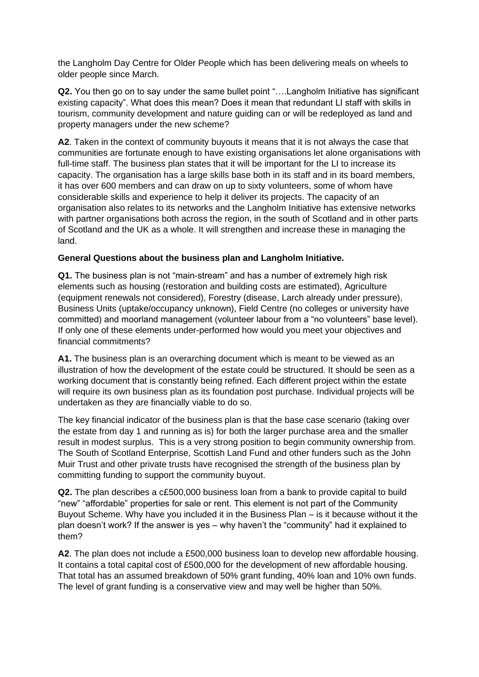the Langholm Day Centre for Older People which has been delivering meals on wheels to older people since March.

**Q2.** You then go on to say under the same bullet point "....Langholm Initiative has significant existing capacity". What does this mean? Does it mean that redundant LI staff with skills in tourism, community development and nature guiding can or will be redeployed as land and property managers under the new scheme?

**A2**. Taken in the context of community buyouts it means that it is not always the case that communities are fortunate enough to have existing organisations let alone organisations with full-time staff. The business plan states that it will be important for the LI to increase its capacity. The organisation has a large skills base both in its staff and in its board members, it has over 600 members and can draw on up to sixty volunteers, some of whom have considerable skills and experience to help it deliver its projects. The capacity of an organisation also relates to its networks and the Langholm Initiative has extensive networks with partner organisations both across the region, in the south of Scotland and in other parts of Scotland and the UK as a whole. It will strengthen and increase these in managing the land.

## **General Questions about the business plan and Langholm Initiative.**

**Q1.** The business plan is not "main-stream" and has a number of extremely high risk elements such as housing (restoration and building costs are estimated), Agriculture (equipment renewals not considered), Forestry (disease, Larch already under pressure), Business Units (uptake/occupancy unknown), Field Centre (no colleges or university have committed) and moorland management (volunteer labour from a "no volunteers" base level). If only one of these elements under-performed how would you meet your objectives and financial commitments?

**A1.** The business plan is an overarching document which is meant to be viewed as an illustration of how the development of the estate could be structured. It should be seen as a working document that is constantly being refined. Each different project within the estate will require its own business plan as its foundation post purchase. Individual projects will be undertaken as they are financially viable to do so.

The key financial indicator of the business plan is that the base case scenario (taking over the estate from day 1 and running as is) for both the larger purchase area and the smaller result in modest surplus. This is a very strong position to begin community ownership from. The South of Scotland Enterprise, Scottish Land Fund and other funders such as the John Muir Trust and other private trusts have recognised the strength of the business plan by committing funding to support the community buyout.

**Q2.** The plan describes a c£500,000 business loan from a bank to provide capital to build "new" "affordable" properties for sale or rent. This element is not part of the Community Buyout Scheme. Why have you included it in the Business Plan – is it because without it the plan doesn't work? If the answer is yes – why haven't the "community" had it explained to them?

**A2**. The plan does not include a £500,000 business loan to develop new affordable housing. It contains a total capital cost of £500,000 for the development of new affordable housing. That total has an assumed breakdown of 50% grant funding, 40% loan and 10% own funds. The level of grant funding is a conservative view and may well be higher than 50%.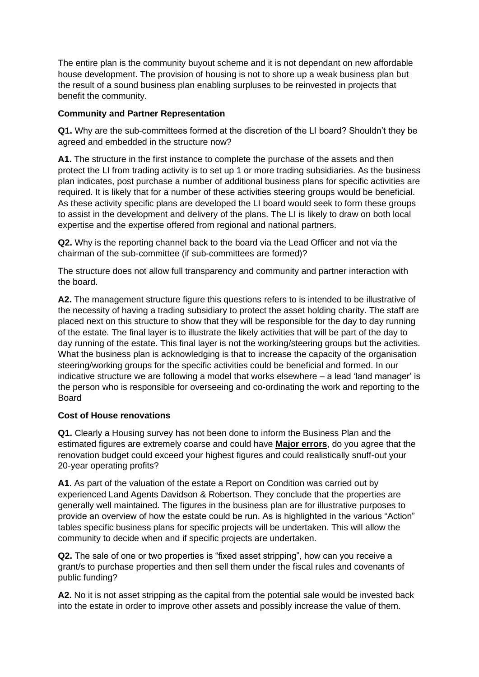The entire plan is the community buyout scheme and it is not dependant on new affordable house development. The provision of housing is not to shore up a weak business plan but the result of a sound business plan enabling surpluses to be reinvested in projects that benefit the community.

## **Community and Partner Representation**

**Q1.** Why are the sub-committees formed at the discretion of the LI board? Shouldn't they be agreed and embedded in the structure now?

**A1.** The structure in the first instance to complete the purchase of the assets and then protect the LI from trading activity is to set up 1 or more trading subsidiaries. As the business plan indicates, post purchase a number of additional business plans for specific activities are required. It is likely that for a number of these activities steering groups would be beneficial. As these activity specific plans are developed the LI board would seek to form these groups to assist in the development and delivery of the plans. The LI is likely to draw on both local expertise and the expertise offered from regional and national partners.

**Q2.** Why is the reporting channel back to the board via the Lead Officer and not via the chairman of the sub-committee (if sub-committees are formed)?

The structure does not allow full transparency and community and partner interaction with the board.

**A2.** The management structure figure this questions refers to is intended to be illustrative of the necessity of having a trading subsidiary to protect the asset holding charity. The staff are placed next on this structure to show that they will be responsible for the day to day running of the estate. The final layer is to illustrate the likely activities that will be part of the day to day running of the estate. This final layer is not the working/steering groups but the activities. What the business plan is acknowledging is that to increase the capacity of the organisation steering/working groups for the specific activities could be beneficial and formed. In our indicative structure we are following a model that works elsewhere – a lead 'land manager' is the person who is responsible for overseeing and co-ordinating the work and reporting to the **Board** 

## **Cost of House renovations**

**Q1.** Clearly a Housing survey has not been done to inform the Business Plan and the estimated figures are extremely coarse and could have **Major errors**, do you agree that the renovation budget could exceed your highest figures and could realistically snuff-out your 20-year operating profits?

**A1**. As part of the valuation of the estate a Report on Condition was carried out by experienced Land Agents Davidson & Robertson. They conclude that the properties are generally well maintained. The figures in the business plan are for illustrative purposes to provide an overview of how the estate could be run. As is highlighted in the various "Action" tables specific business plans for specific projects will be undertaken. This will allow the community to decide when and if specific projects are undertaken.

**Q2.** The sale of one or two properties is "fixed asset stripping", how can you receive a grant/s to purchase properties and then sell them under the fiscal rules and covenants of public funding?

**A2.** No it is not asset stripping as the capital from the potential sale would be invested back into the estate in order to improve other assets and possibly increase the value of them.